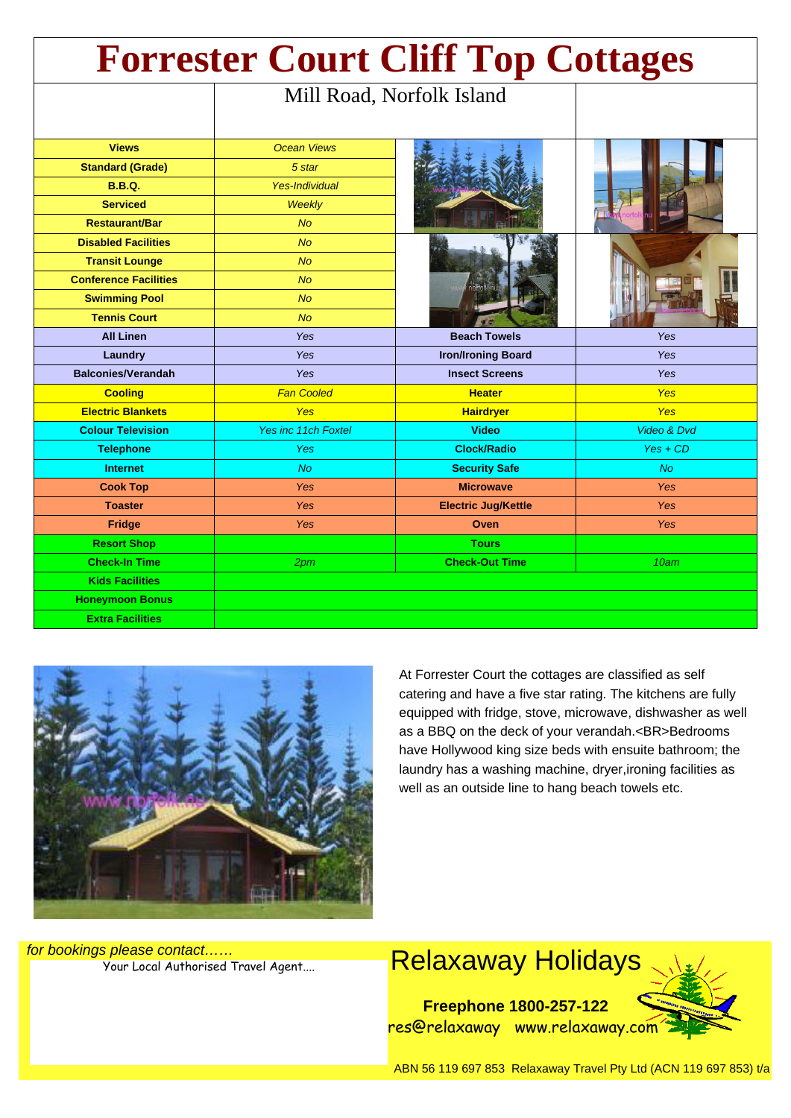| <b>Forrester Court Cliff Top Cottages</b> |                            |                            |             |
|-------------------------------------------|----------------------------|----------------------------|-------------|
|                                           | Mill Road, Norfolk Island  |                            |             |
|                                           |                            |                            |             |
| <b>Views</b>                              | <b>Ocean Views</b>         |                            |             |
| <b>Standard (Grade)</b>                   | 5 star                     |                            |             |
| <b>B.B.Q.</b>                             | <b>Yes-Individual</b>      |                            |             |
| <b>Serviced</b>                           | <b>Weekly</b>              |                            |             |
| <b>Restaurant/Bar</b>                     | <b>No</b>                  |                            |             |
| <b>Disabled Facilities</b>                | <b>No</b>                  |                            |             |
| <b>Transit Lounge</b>                     | <b>No</b>                  |                            |             |
| <b>Conference Facilities</b>              | <b>No</b>                  |                            |             |
| <b>Swimming Pool</b>                      | <b>No</b>                  |                            |             |
| <b>Tennis Court</b>                       | <b>No</b>                  |                            |             |
| <b>All Linen</b>                          | <b>Yes</b>                 | <b>Beach Towels</b>        | Yes         |
| Laundry                                   | <b>Yes</b>                 | <b>Iron/Ironing Board</b>  | Yes         |
| <b>Balconies/Verandah</b>                 | <b>Yes</b>                 | <b>Insect Screens</b>      | Yes         |
| <b>Cooling</b>                            | <b>Fan Cooled</b>          | <b>Heater</b>              | <b>Yes</b>  |
| <b>Electric Blankets</b>                  | <b>Yes</b>                 | <b>Hairdryer</b>           | <b>Yes</b>  |
| <b>Colour Television</b>                  | <b>Yes inc 11ch Foxtel</b> | <b>Video</b>               | Video & Dvd |
| <b>Telephone</b>                          | Yes                        | <b>Clock/Radio</b>         | $Yes + CD$  |
| <b>Internet</b>                           | No.                        | <b>Security Safe</b>       | <b>No</b>   |
| <b>Cook Top</b>                           | <b>Yes</b>                 | <b>Microwave</b>           | <b>Yes</b>  |
| <b>Toaster</b>                            | Yes                        | <b>Electric Jug/Kettle</b> | <b>Yes</b>  |
| Fridge                                    | <b>Yes</b>                 | Oven                       | <b>Yes</b>  |
| <b>Resort Shop</b>                        |                            | <b>Tours</b>               |             |
| <b>Check-In Time</b>                      | 2pm                        | <b>Check-Out Time</b>      | 10am        |
| <b>Kids Facilities</b>                    |                            |                            |             |
| <b>Honeymoon Bonus</b>                    |                            |                            |             |
| <b>Extra Facilities</b>                   |                            |                            |             |



At Forrester Court the cottages are classified as self catering and have a five star rating. The kitchens are fully equipped with fridge, stove, microwave, dishwasher as well as a BBQ on the deck of your verandah.<BR>Bedrooms have Hollywood king size beds with ensuite bathroom; the laundry has a washing machine, dryer,ironing facilities as well as an outside line to hang beach towels etc.

for bookings please contact……